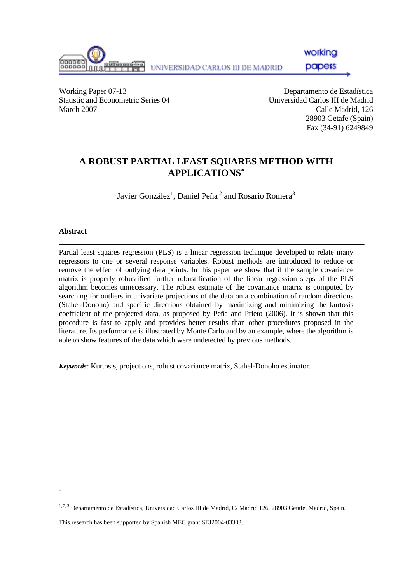

working

papers

Working Paper 07-13 Departamento de Estadística Statistic and Econometric Series 04 Universidad Carlos III de Madrid March 2007 Calle Madrid, 126

 28903 Getafe (Spain) Fax (34-91) 6249849

# **A ROBUST PARTIAL LEAST SQUARES METHOD WITH APPLICATIONS**<sup>∗</sup>

Javier González $^1$ , Daniel Peña $^2$  and Rosario Romera $^3$ 

### **Abstract**

Partial least squares regression (PLS) is a linear regression technique developed to relate many regressors to one or several response variables. Robust methods are introduced to reduce or remove the effect of outlying data points. In this paper we show that if the sample covariance matrix is properly robustified further robustification of the linear regression steps of the PLS algorithm becomes unnecessary. The robust estimate of the covariance matrix is computed by searching for outliers in univariate projections of the data on a combination of random directions (Stahel-Donoho) and specific directions obtained by maximizing and minimizing the kurtosis coefficient of the projected data, as proposed by Peña and Prieto (2006). It is shown that this procedure is fast to apply and provides better results than other procedures proposed in the literature. Its performance is illustrated by Monte Carlo and by an example, where the algorithm is able to show features of the data which were undetected by previous methods.

*Keywords:* Kurtosis, projections, robust covariance matrix, Stahel-Donoho estimator.

l ∗

This research has been supported by Spanish MEC grant SEJ2004-03303.

<sup>1, 2, 3</sup> Departamento de Estadística, Universidad Carlos III de Madrid, C/ Madrid 126, 28903 Getafe, Madrid, Spain.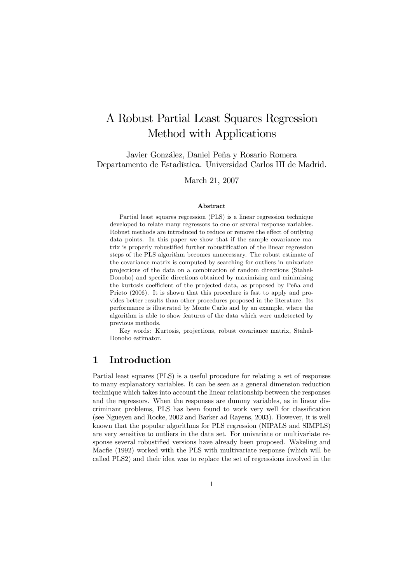# A Robust Partial Least Squares Regression Method with Applications

Javier González, Daniel Peña y Rosario Romera Departamento de Estadística. Universidad Carlos III de Madrid.

March 21, 2007

#### Abstract

Partial least squares regression (PLS) is a linear regression technique developed to relate many regressors to one or several response variables. Robust methods are introduced to reduce or remove the effect of outlying data points. In this paper we show that if the sample covariance matrix is properly robustified further robustification of the linear regression steps of the PLS algorithm becomes unnecessary. The robust estimate of the covariance matrix is computed by searching for outliers in univariate projections of the data on a combination of random directions (Stahel-Donoho) and specific directions obtained by maximizing and minimizing the kurtosis coefficient of the projected data, as proposed by Peña and Prieto (2006). It is shown that this procedure is fast to apply and provides better results than other procedures proposed in the literature. Its performance is illustrated by Monte Carlo and by an example, where the algorithm is able to show features of the data which were undetected by previous methods.

Key words: Kurtosis, projections, robust covariance matrix, Stahel-Donoho estimator.

## 1 Introduction

Partial least squares (PLS) is a useful procedure for relating a set of responses to many explanatory variables. It can be seen as a general dimension reduction technique which takes into account the linear relationship between the responses and the regressors. When the responses are dummy variables, as in linear discriminant problems, PLS has been found to work very well for classification (see Ngueyen and Rocke, 2002 and Barker ad Rayens, 2003). However, it is well known that the popular algorithms for PLS regression (NIPALS and SIMPLS) are very sensitive to outliers in the data set. For univariate or multivariate response several robustified versions have already been proposed. Wakeling and Macfie (1992) worked with the PLS with multivariate response (which will be called PLS2) and their idea was to replace the set of regressions involved in the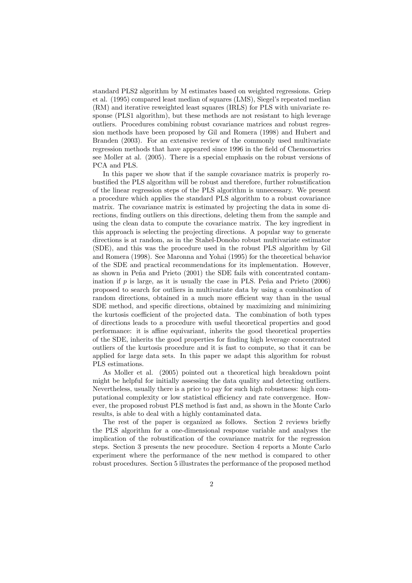standard PLS2 algorithm by M estimates based on weighted regressions. Griep et al. (1995) compared least median of squares (LMS), Siegel's repeated median (RM) and iterative reweighted least squares (IRLS) for PLS with univariate response (PLS1 algorithm), but these methods are not resistant to high leverage outliers. Procedures combining robust covariance matrices and robust regression methods have been proposed by Gil and Romera (1998) and Hubert and Branden (2003). For an extensive review of the commonly used multivariate regression methods that have appeared since 1996 in the field of Chemometrics see Moller at al. (2005). There is a special emphasis on the robust versions of PCA and PLS.

In this paper we show that if the sample covariance matrix is properly robustified the PLS algorithm will be robust and therefore, further robustification of the linear regression steps of the PLS algorithm is unnecessary. We present a procedure which applies the standard PLS algorithm to a robust covariance matrix. The covariance matrix is estimated by projecting the data in some directions, finding outliers on this directions, deleting them from the sample and using the clean data to compute the covariance matrix. The key ingredient in this approach is selecting the projecting directions. A popular way to generate directions is at random, as in the Stahel-Donoho robust multivariate estimator (SDE), and this was the procedure used in the robust PLS algorithm by Gil and Romera (1998). See Maronna and Yohai (1995) for the theoretical behavior of the SDE and practical recommendations for its implementation. However, as shown in Peña and Prieto (2001) the SDE fails with concentrated contamination if  $p$  is large, as it is usually the case in PLS. Peña and Prieto  $(2006)$ proposed to search for outliers in multivariate data by using a combination of random directions, obtained in a much more efficient way than in the usual SDE method, and specific directions, obtained by maximizing and minimizing the kurtosis coefficient of the projected data. The combination of both types of directions leads to a procedure with useful theoretical properties and good performance: it is affine equivariant, inherits the good theoretical properties of the SDE, inherits the good properties for finding high leverage concentrated outliers of the kurtosis procedure and it is fast to compute, so that it can be applied for large data sets. In this paper we adapt this algorithm for robust PLS estimations.

As Moller et al. (2005) pointed out a theoretical high breakdown point might be helpful for initially assessing the data quality and detecting outliers. Nevertheless, usually there is a price to pay for such high robustness: high computational complexity or low statistical efficiency and rate convergence. However, the proposed robust PLS method is fast and, as shown in the Monte Carlo results, is able to deal with a highly contaminated data.

The rest of the paper is organized as follows. Section 2 reviews briefly the PLS algorithm for a one-dimensional response variable and analyses the implication of the robustification of the covariance matrix for the regression steps. Section 3 presents the new procedure. Section 4 reports a Monte Carlo experiment where the performance of the new method is compared to other robust procedures. Section 5 illustrates the performance of the proposed method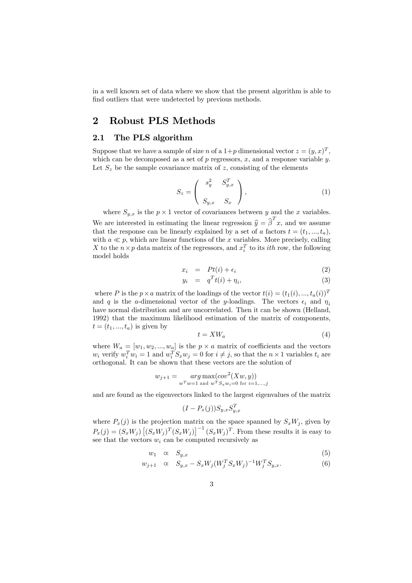in a well known set of data where we show that the present algorithm is able to find outliers that were undetected by previous methods.

## 2 Robust PLS Methods

#### 2.1 The PLS algorithm

Suppose that we have a sample of size n of a  $1+p$  dimensional vector  $z=(y, x)^T$ . which can be decomposed as a set of  $p$  regressors,  $x$ , and a response variable  $y$ . Let  $S_z$  be the sample covariance matrix of z, consisting of the elements

$$
S_z = \begin{pmatrix} s_y^2 & S_{y,x}^T \\ S_{y,x} & S_x \end{pmatrix},\tag{1}
$$

where  $S_{y,x}$  is the  $p \times 1$  vector of covariances between y and the x variables. We are interested in estimating the linear regression  $\hat{y} = \hat{\beta}^T x$ , and we assume that the response can be linearly explained by a set of a factors  $t = (t_1, ..., t_a)$ , with  $a \ll p$ , which are linear functions of the x variables. More precisely, calling X to the  $n \times p$  data matrix of the regressors, and  $x_i^T$  to its *ith* row, the following model holds

$$
x_i = Pt(i) + \epsilon_i \tag{2}
$$

$$
y_i = q^T t(i) + \eta_i,\tag{3}
$$

where P is the  $p \times a$  matrix of the loadings of the vector  $t(i)=(t_1(i),..., t_a(i))^T$ and q is the a-dimensional vector of the y-loadings. The vectors  $\epsilon_i$  and  $\eta_i$ have normal distribution and are uncorrelated. Then it can be shown (Helland, 1992) that the maximum likelihood estimation of the matrix of components,  $t=(t_1,...,t_a)$  is given by

$$
t = XW_a \tag{4}
$$

where  $W_a = [w_1, w_2, ..., w_a]$  is the  $p \times a$  matrix of coefficients and the vectors  $w_i$  verify  $w_i^T w_i = 1$  and  $w_i^T S_x w_j = 0$  for  $i \neq j$ , so that the  $n \times 1$  variables  $t_i$  are orthogonal. It can be shown that these vectors are the solution of

$$
w_{j+1} = \underset{w^T w = 1 \text{ and } w^T S_x w_i = 0 \text{ for } i = 1,...,j}{arg \max( cov^2(Xw, y))}
$$

and are found as the eigenvectors linked to the largest eigenvalues of the matrix

$$
(I - P_x(j))S_{y,x}S_{y,x}^T
$$

where  $P_x(j)$  is the projection matrix on the space spanned by  $S_xW_j$ , given by  $P_x(j) = (S_x W_j) [(S_x W_j)^T (S_x W_j)]^{-1} (S_x W_j)^T$ . From these results it is easy to see that the vectors  $w_i$  can be computed recursively as

$$
w_1 \quad \propto \quad S_{y,x} \tag{5}
$$

$$
w_{j+1} \quad \propto \quad S_{y,x} - S_x W_j (W_j^T S_x W_j)^{-1} W_j^T S_{y,x}.
$$
 (6)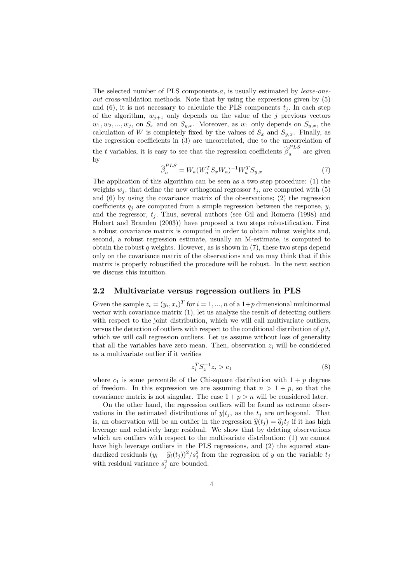The selected number of PLS components, $a$ , is usually estimated by *leave-one*out cross-validation methods. Note that by using the expressions given by (5) and  $(6)$ , it is not necessary to calculate the PLS components  $t_i$ . In each step of the algorithm,  $w_{j+1}$  only depends on the value of the j previous vectors  $w_1, w_2, ..., w_j$ , on  $S_x$  and on  $S_{y,x}$ . Moreover, as  $w_1$  only depends on  $S_{y,x}$ , the calculation of W is completely fixed by the values of  $S_x$  and  $S_{y,x}$ . Finally, as the regression coefficients in (3) are uncorrelated, due to the uncorrelation of the t variables, it is easy to see that the regression coefficients  $\hat{\beta}_a^{PLS}$  are given by

$$
\widehat{\beta}_a^{PLS} = W_a (W_a^T S_x W_a)^{-1} W_a^T S_{y,x} \tag{7}
$$

The application of this algorithm can be seen as a two step procedure: (1) the weights  $w_j$ , that define the new orthogonal regressor  $t_j$ , are computed with (5) and (6) by using the covariance matrix of the observations; (2) the regression coefficients  $q_j$  are computed from a simple regression between the response, y, and the regressor,  $t_j$ . Thus, several authors (see Gil and Romera (1998) and Hubert and Branden (2003)) have proposed a two steps robustification. First a robust covariance matrix is computed in order to obtain robust weights and, second, a robust regression estimate, usually an M-estimate, is computed to obtain the robust q weights. However, as is shown in  $(7)$ , these two steps depend only on the covariance matrix of the observations and we may think that if this matrix is properly robustified the procedure will be robust. In the next section we discuss this intuition.

#### 2.2 Multivariate versus regression outliers in PLS

Given the sample  $z_i = (y_i, x_i)^T$  for  $i = 1, ..., n$  of a  $1+p$  dimensional multinormal vector with covariance matrix (1), let us analyze the result of detecting outliers with respect to the joint distribution, which we will call multivariate outliers, versus the detection of outliers with respect to the conditional distribution of  $y|t$ , which we will call regression outliers. Let us assume without loss of generality that all the variables have zero mean. Then, observation  $z_i$  will be considered as a multivariate outlier if it verifies

$$
z_i^T S_z^{-1} z_i > c_1 \tag{8}
$$

where  $c_1$  is some percentile of the Chi-square distribution with  $1 + p$  degrees of freedom. In this expression we are assuming that  $n > 1 + p$ , so that the covariance matrix is not singular. The case  $1 + p > n$  will be considered later.

On the other hand, the regression outliers will be found as extreme observations in the estimated distributions of  $y|t_i$ , as the  $t_i$  are orthogonal. That is, an observation will be an outlier in the regression  $\hat{y}(t_i) = \hat{q}_i t_i$  if it has high leverage and relatively large residual. We show that by deleting observations which are outliers with respect to the multivariate distribution: (1) we cannot have high leverage outliers in the PLS regressions, and  $(2)$  the squared standardized residuals  $(y_i - \hat{y}_i(t_j))^2 / s_j^2$  from the regression of y on the variable  $t_j$ with residual variance  $s_j^2$  are bounded.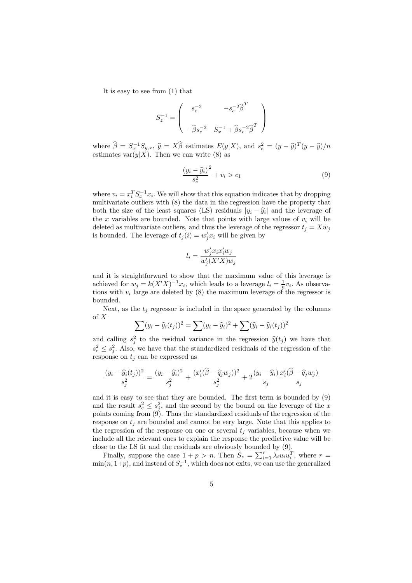It is easy to see from (1) that

$$
S_z^{-1}=\left(\begin{array}{cc} s_e^{-2} & -s_e^{-2}\widehat{\boldsymbol{\beta}}^T\\ \\ -\widehat{\boldsymbol{\beta}} s_e^{-2} & S_x^{-1}+\widehat{\boldsymbol{\beta}} s_e^{-2}\widehat{\boldsymbol{\beta}}^T \end{array}\right)
$$

where  $\hat{\beta} = S_x^{-1} S_{y,x}, \hat{y} = X\hat{\beta}$  estimates  $E(y|X)$ , and  $s_e^2 = (y - \hat{y})^T (y - \hat{y})/n$ estimates var $(y|X)$ . Then we can write (8) as

$$
\frac{(y_i - \widehat{y}_i)^2}{s_e^2} + v_i > c_1 \tag{9}
$$

where  $v_i = x_i^T S_x^{-1} x_i$ . We will show that this equation indicates that by dropping multivariate outliers with (8) the data in the regression have the property that both the size of the least squares (LS) residuals  $|y_i - \hat{y}_i|$  and the leverage of the x variables are bounded. Note that points with large values of  $v_i$  will be deleted as multivariate outliers, and thus the leverage of the regressor  $t_i = Xw_i$ is bounded. The leverage of  $t_j(i) = w'_j x_i$  will be given by

$$
l_i = \frac{w'_j x_i x'_i w_j}{w'_j (X'X) w_j}
$$

and it is straightforward to show that the maximum value of this leverage is achieved for  $w_j = k(X'X)^{-1}x_i$ , which leads to a leverage  $l_i = \frac{1}{n}v_i$ . As observations with  $v_i$  large are deleted by (8) the maximum leverage of the regressor is bounded.

Next, as the  $t_i$  regressor is included in the space generated by the columns of X

$$
\sum (y_i - \widehat{y}_i(t_j))^2 = \sum (y_i - \widehat{y}_i)^2 + \sum (\widehat{y}_i - \widehat{y}_i(t_j))^2
$$

and calling  $s_j^2$  to the residual variance in the regression  $\hat{y}(t_j)$  we have that  $s_e^2 \leq s_j^2$ . Also, we have that the standardized residuals of the regression of the response on  $t_i$  can be expressed as

$$
\frac{(y_i - \widehat{y}_i(t_j))^2}{s_j^2} = \frac{(y_i - \widehat{y}_i)^2}{s_j^2} + \frac{(x_i'(\widehat{\beta} - \widehat{q}_j w_j))^2}{s_j^2} + 2\frac{(y_i - \widehat{y}_i)}{s_j} \frac{x_i'(\widehat{\beta} - \widehat{q}_j w_j)}{s_j}
$$

and it is easy to see that they are bounded. The first term is bounded by (9) and the result  $s_e^2 \leq s_j^2$ , and the second by the bound on the leverage of the x points coming from (9). Thus the standardized residuals of the regression of the response on  $t_i$  are bounded and cannot be very large. Note that this applies to the regression of the response on one or several  $t_j$  variables, because when we include all the relevant ones to explain the response the predictive value will be close to the LS fit and the residuals are obviously bounded by (9).

Finally, suppose the case  $1 + p > n$ . Then  $S_z = \sum_{i=1}^r \lambda_i u_i u_i^T$ , where  $r =$  $\min(n, 1+p)$ , and instead of  $S_z^{-1}$ , which does not exits, we can use the generalized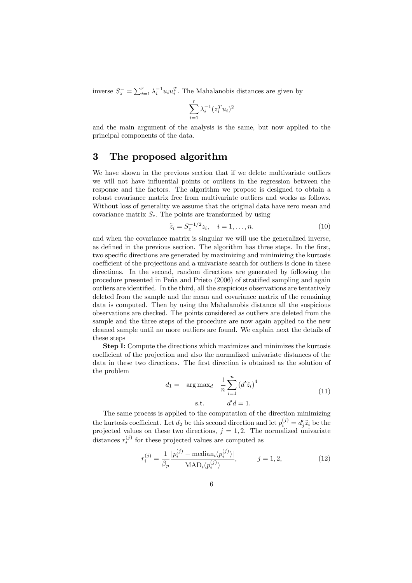inverse  $S_z^{\perp} = \sum_{i=1}^r \lambda_i^{-1} u_i u_i^T$ . The Mahalanobis distances are given by

$$
\sum_{i=1}^r \lambda_i^{-1} (z_i^T u_i)^2
$$

and the main argument of the analysis is the same, but now applied to the principal components of the data.

## 3 The proposed algorithm

We have shown in the previous section that if we delete multivariate outliers we will not have influential points or outliers in the regression between the response and the factors. The algorithm we propose is designed to obtain a robust covariance matrix free from multivariate outliers and works as follows. Without loss of generality we assume that the original data have zero mean and covariance matrix  $S_z$ . The points are transformed by using

$$
\widetilde{z}_i = S_z^{-1/2} z_i, \quad i = 1, \dots, n. \tag{10}
$$

and when the covariance matrix is singular we will use the generalized inverse, as defined in the previous section. The algorithm has three steps. In the first, two specific directions are generated by maximizing and minimizing the kurtosis coefficient of the projections and a univariate search for outliers is done in these directions. In the second, random directions are generated by following the procedure presented in Peña and Prieto (2006) of stratified sampling and again outliers are identified. In the third, all the suspicious observations are tentatively deleted from the sample and the mean and covariance matrix of the remaining data is computed. Then by using the Mahalanobis distance all the suspicious observations are checked. The points considered as outliers are deleted from the sample and the three steps of the procedure are now again applied to the new cleaned sample until no more outliers are found. We explain next the details of these steps

Step I: Compute the directions which maximizes and minimizes the kurtosis coefficient of the projection and also the normalized univariate distances of the data in these two directions. The first direction is obtained as the solution of the problem

$$
d_1 = \arg \max_{d} \frac{1}{n} \sum_{i=1}^{n} (d' \widetilde{z}_i)^4
$$
  
s.t. 
$$
d'd = 1.
$$
 (11)

The same process is applied to the computation of the direction minimizing the kurtosis coefficient. Let  $d_2$  be this second direction and let  $p_i^{(j)} = d_j' \tilde{z}_i$  be the projected values on these two directions,  $j = 1, 2$ . The normalized univariate distances  $r_i^{(j)}$  for these projected values are computed as

$$
r_i^{(j)} = \frac{1}{\beta_p} \frac{|p_i^{(j)} - \text{median}_i(p_i^{(j)})|}{\text{MAD}_i(p_i^{(j)})}, \qquad j = 1, 2,
$$
 (12)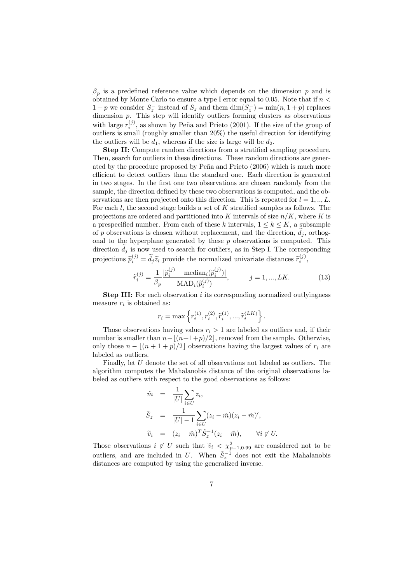$\beta_p$  is a predefined reference value which depends on the dimension p and is obtained by Monte Carlo to ensure a type I error equal to 0.05. Note that if  $n <$  $1 + p$  we consider  $S_z^-$  instead of  $S_z$  and them  $\dim(S_z^-) = \min(n, 1 + p)$  replaces dimension p. This step will identify outliers forming clusters as observations with large  $r_i^{(j)}$ , as shown by Peña and Prieto (2001). If the size of the group of outliers is small (roughly smaller than 20%) the useful direction for identifying the outliers will be  $d_1$ , whereas if the size is large will be  $d_2$ .

Step II: Compute random directions from a stratified sampling procedure. Then, search for outliers in these directions. These random directions are generated by the procedure proposed by Peña and Prieto (2006) which is much more efficient to detect outliers than the standard one. Each direction is generated in two stages. In the first one two observations are chosen randomly from the sample, the direction defined by these two observations is computed, and the observations are then projected onto this direction. This is repeated for  $l = 1, ..., L$ . For each l, the second stage builds a set of K stratified samples as follows. The projections are ordered and partitioned into K intervals of size  $n/K$ , where K is a prespecified number. From each of these k intervals,  $1 \leq k \leq K$ , a subsample of  $p$  observations is chosen without replacement, and the direction,  $d_j$ , orthogonal to the hyperplane generated by these  $p$  observations is computed. This direction  $d_j$  is now used to search for outliers, as in Step I. The corresponding projections  $\tilde{p}_i^{(j)} = \tilde{d}_j \tilde{z}_i$  provide the normalized univariate distances  $\tilde{r}_i^{(j)}$ ,

$$
\widetilde{r}_i^{(j)} = \frac{1}{\beta_p} \frac{|\widetilde{p}_i^{(j)} - \text{median}_i(\widetilde{p}_i^{(j)})|}{\text{MAD}_i(\widetilde{p}_i^{(j)})}, \qquad j = 1, ..., LK.
$$
\n(13)

**Step III:** For each observation i its corresponding normalized outlyingness measure  $r_i$  is obtained as:

$$
r_i = \max\left\{r_i^{(1)}, r_i^{(2)}, \tilde{r}_i^{(1)}, ..., \tilde{r}_i^{(LK)}\right\}.
$$

Those observations having values  $r_i > 1$  are labeled as outliers and, if their number is smaller than  $n-[(n+1+p)/2]$ , removed from the sample. Otherwise, only those  $n - \lfloor (n + 1 + p)/2 \rfloor$  observations having the largest values of  $r_i$  are labeled as outliers.

Finally, let U denote the set of all observations not labeled as outliers. The algorithm computes the Mahalanobis distance of the original observations labeled as outliers with respect to the good observations as follows:

$$
\tilde{m} = \frac{1}{|U|} \sum_{i \in U} z_i,
$$
\n
$$
\tilde{S}_z = \frac{1}{|U| - 1} \sum_{i \in U} (z_i - \tilde{m})(z_i - \tilde{m})',
$$
\n
$$
\tilde{v}_i = (z_i - \tilde{m})^T \tilde{S}_z^{-1} (z_i - \tilde{m}), \qquad \forall i \notin U.
$$

Those observations  $i \notin U$  such that  $\widetilde{v}_i < \chi^2_{p-1,0.99}$  are considered not to be outliers, and are included in U. When  $\tilde{S}_z^{-1}$  does not exit the Mahalanobis distances are computed by using the generalized inverse.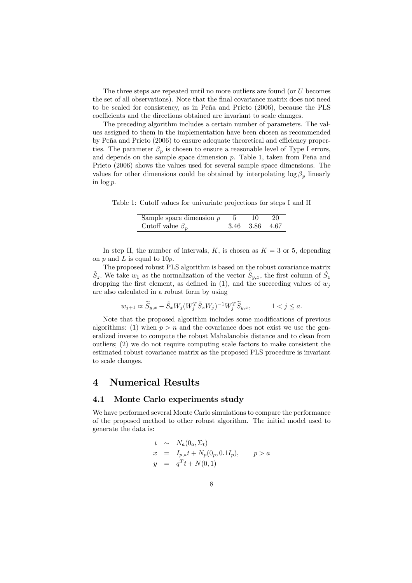The three steps are repeated until no more outliers are found (or U becomes the set of all observations). Note that the final covariance matrix does not need to be scaled for consistency, as in Peña and Prieto (2006), because the PLS coefficients and the directions obtained are invariant to scale changes.

The preceding algorithm includes a certain number of parameters. The values assigned to them in the implementation have been chosen as recommended by Peña and Prieto (2006) to ensure adequate theoretical and efficiency properties. The parameter  $\beta_n$  is chosen to ensure a reasonable level of Type I errors, and depends on the sample space dimension  $p$ . Table 1, taken from Peña and Prieto (2006) shows the values used for several sample space dimensions. The values for other dimensions could be obtained by interpolating  $\log \beta_p$  linearly in log p.

Table 1: Cutoff values for univariate projections for steps I and II

| Sample space dimension $p$ | 10             | -20 |
|----------------------------|----------------|-----|
| Cutoff value $\beta_n$     | 3.46 3.86 4.67 |     |

In step II, the number of intervals, K, is chosen as  $K = 3$  or 5, depending on  $p$  and  $L$  is equal to 10 $p$ .

The proposed robust PLS algorithm is based on the robust covariance matrix  $S_z$ . We take  $w_1$  as the normalization of the vector  $S_{y,x}$ , the first column of  $S_z$ dropping the first element, as defined in (1), and the succeeding values of  $w_j$ are also calculated in a robust form by using

$$
w_{j+1} \propto \widetilde{S}_{y,x} - \widetilde{S}_x W_j (W_j^T \widetilde{S}_x W_j)^{-1} W_j^T \widetilde{S}_{y,x}, \qquad 1 < j \le a.
$$

Note that the proposed algorithm includes some modifications of previous algorithms: (1) when  $p > n$  and the covariance does not exist we use the generalized inverse to compute the robust Mahalanobis distance and to clean from outliers; (2) we do not require computing scale factors to make consistent the estimated robust covariance matrix as the proposed PLS procedure is invariant to scale changes.

## 4 Numerical Results

#### 4.1 Monte Carlo experiments study

We have performed several Monte Carlo simulations to compare the performance of the proposed method to other robust algorithm. The initial model used to generate the data is:

$$
t \sim N_a(0_a, \Sigma_t)
$$
  
\n
$$
x = I_{p,a}t + N_p(0_p, 0.1I_p), \qquad p > a
$$
  
\n
$$
y = q^T t + N(0, 1)
$$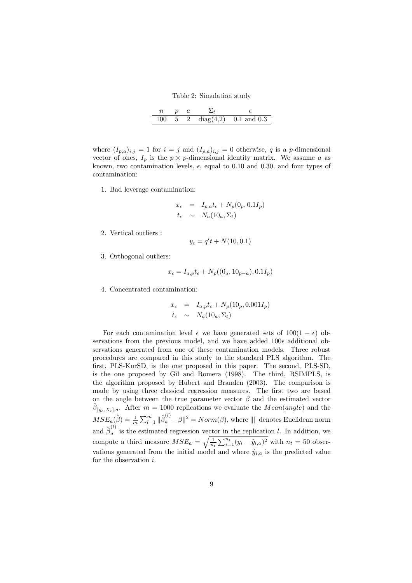Table 2: Simulation study

| 100. |  | 5 2 diag(4.2) 0.1 and 0.3 |
|------|--|---------------------------|

where  $(I_{p,q})_{i,j} = 1$  for  $i = j$  and  $(I_{p,q})_{i,j} = 0$  otherwise, q is a p-dimensional vector of ones,  $I_p$  is the  $p \times p$ -dimensional identity matrix. We assume a as known, two contamination levels,  $\epsilon$ , equal to 0.10 and 0.30, and four types of contamination:

1. Bad leverage contamination:

$$
x_{\epsilon} = I_{p,a}t_{\epsilon} + N_p(0_p, 0.1I_p)
$$
  

$$
t_{\epsilon} \sim N_a(10_a, \Sigma_t)
$$

2. Vertical outliers :

$$
y_{\epsilon} = q't + N(10, 0.1)
$$

3. Orthogonal outliers:

$$
x_{\epsilon} = I_{a,p}t_{\epsilon} + N_p((0_a, 10_{p-a}), 0.1I_p)
$$

4. Concentrated contamination:

$$
x_{\epsilon} = I_{a,p}t_{\epsilon} + N_p(10_p, 0.001I_p)
$$
  

$$
t_{\epsilon} \sim N_a(10_a, \Sigma_t)
$$

For each contamination level  $\epsilon$  we have generated sets of  $100(1 - \epsilon)$  observations from the previous model, and we have added  $100\epsilon$  additional observations generated from one of these contamination models. Three robust procedures are compared in this study to the standard PLS algorithm. The first, PLS-KurSD, is the one proposed in this paper. The second, PLS-SD, is the one proposed by Gil and Romera (1998). The third, RSIMPLS, is the algorithm proposed by Hubert and Branden (2003). The comparison is made by using three classical regression measures. The first two are based on the angle between the true parameter vector  $\beta$  and the estimated vector  $\hat{\beta}_{[y_{\epsilon},X_{\epsilon}],a}$ . After  $m = 1000$  replications we evaluate the  $Mean(angle)$  and the  $MSE_a(\hat{\beta}) = \frac{1}{m} \sum_{l=1}^m \|\hat{\beta}_a^{(l)} - \beta\|^2 = Norm(\beta)$ , where  $\|\|$  denotes Euclidean norm and  $\hat{\beta}_a^{(l)}$  is the estimated regression vector in the replication l. In addition, we compute a third measure  $MSE_a = \sqrt{\frac{1}{n_t} \sum_{i=1}^{n_t} (y_i - \hat{y}_{i,a})^2}$  with  $n_t = 50$  observations generated from the initial model and where  $\hat{y}_{i,a}$  is the predicted value for the observation i.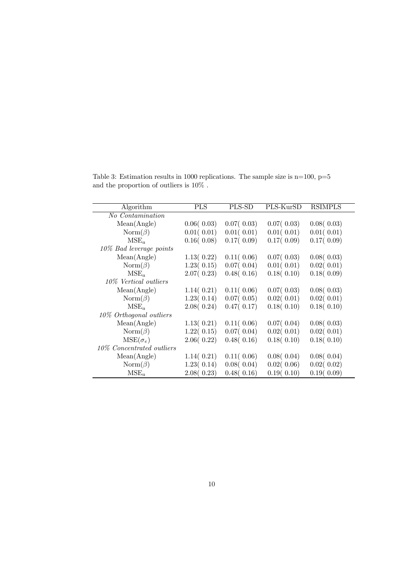Table 3: Estimation results in 1000 replications. The sample size is  $n=100$ ,  $p=5$ and the proportion of outliers is  $10\%$  .

| Algorithm                  | <b>PLS</b> | PLS-SD      | PLS-KurSD     | <b>RSIMPLS</b> |
|----------------------------|------------|-------------|---------------|----------------|
|                            |            |             |               |                |
| No Contamination           |            |             |               |                |
| Mean(Angle)                | 0.06(0.03) | 0.07(0.03)  | 0.07(0.03)    | 0.08(0.03)     |
| $\text{Norm}(\beta)$       | 0.01(0.01) | 0.01(0.01)  | 0.01(0.01)    | 0.01(0.01)     |
| $MSE_a$                    | 0.16(0.08) | 0.17(0.09)  | 0.17(0.09)    | 0.17(0.09)     |
| $10\%$ Bad leverage points |            |             |               |                |
| Mean(Angle)                | 1.13(0.22) | 0.11( 0.06) | 0.07(0.03)    | 0.08(0.03)     |
| $\text{Norm}(\beta)$       | 1.23(0.15) | 0.07(0.04)  | 0.01(0.01)    | 0.02(0.01)     |
| $MSE_a$                    | 2.07(0.23) | 0.48(0.16)  | 0.18(0.10)    | 0.18(0.09)     |
| 10\% Vertical outliers     |            |             |               |                |
| Mean(Angle)                | 1.14(0.21) | 0.11(0.06)  | $0.07($ 0.03) | 0.08(0.03)     |
| $\text{Norm}(\beta)$       | 1.23(0.14) | 0.07(0.05)  | 0.02(0.01)    | 0.02(0.01)     |
| $MSE_a$                    | 2.08(0.24) | 0.47(0.17)  | 0.18(0.10)    | 0.18(0.10)     |
| 10% Orthogonal outliers    |            |             |               |                |
| Mean(Angle)                | 1.13(0.21) | 0.11(0.06)  | 0.07(0.04)    | 0.08(0.03)     |
| $\text{Norm}(\beta)$       | 1.22(0.15) | 0.07(0.04)  | 0.02(0.01)    | 0.02(0.01)     |
| $MSE(\sigma_e)$            | 2.06(0.22) | 0.48(0.16)  | 0.18(0.10)    | 0.18(0.10)     |
| 10\% Concentrated outliers |            |             |               |                |
| Mean(Angle)                | 1.14(0.21) | 0.11(0.06)  | 0.08(0.04)    | 0.08(0.04)     |
| $\text{Norm}(\beta)$       | 1.23(0.14) | 0.08(0.04)  | 0.02(0.06)    | 0.02(0.02)     |
| $MSE_a$                    | 2.08(0.23) | 0.48(0.16)  | 0.19(0.10)    | 0.19(0.09)     |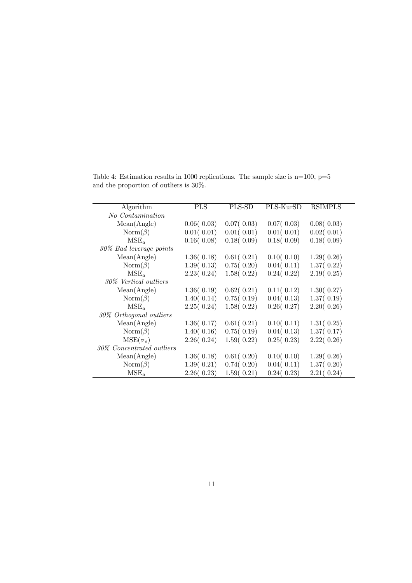Table 4: Estimation results in 1000 replications. The sample size is  $n=100$ ,  $p=5$ and the proportion of outliers is 30%.

| Algorithm                  | <b>PLS</b> | PLS-SD     | PLS-KurSD     | <b>RSIMPLS</b> |
|----------------------------|------------|------------|---------------|----------------|
| No Contamination           |            |            |               |                |
|                            |            |            |               |                |
| Mean(Angle)                | 0.06(0.03) | 0.07(0.03) | $0.07($ 0.03) | 0.08(0.03)     |
| $\text{Norm}(\beta)$       | 0.01(0.01) | 0.01(0.01) | 0.01(0.01)    | 0.02(0.01)     |
| $MSE_a$                    | 0.16(0.08) | 0.18(0.09) | 0.18(0.09)    | 0.18(0.09)     |
| 30% Bad leverage points    |            |            |               |                |
| Mean(Angle)                | 1.36(0.18) | 0.61(0.21) | 0.10(0.10)    | 1.29(0.26)     |
| $\text{Norm}(\beta)$       | 1.39(0.13) | 0.75(0.20) | 0.04(0.11)    | 1.37(0.22)     |
| $MSE_a$                    | 2.23(0.24) | 1.58(0.22) | 0.24(0.22)    | 2.19(0.25)     |
| 30\% Vertical outliers     |            |            |               |                |
| Mean(Angle)                | 1.36(0.19) | 0.62(0.21) | 0.11(0.12)    | 1.30(0.27)     |
| $\text{Norm}(\beta)$       | 1.40(0.14) | 0.75(0.19) | 0.04(0.13)    | 1.37(0.19)     |
| $MSE_a$                    | 2.25(0.24) | 1.58(0.22) | 0.26(0.27)    | 2.20(0.26)     |
| 30% Orthogonal outliers    |            |            |               |                |
| Mean(Angle)                | 1.36(0.17) | 0.61(0.21) | 0.10(0.11)    | 1.31(0.25)     |
| $\text{Norm}(\beta)$       | 1.40(0.16) | 0.75(0.19) | 0.04(0.13)    | 1.37(0.17)     |
| $MSE(\sigma_e)$            | 2.26(0.24) | 1.59(0.22) | 0.25(0.23)    | 2.22(0.26)     |
| 30\% Concentrated outliers |            |            |               |                |
| Mean(Angle)                | 1.36(0.18) | 0.61(0.20) | 0.10(0.10)    | 1.29(0.26)     |
| $\text{Norm}(\beta)$       | 1.39(0.21) | 0.74(0.20) | 0.04(0.11)    | 1.37(0.20)     |
| $MSE_a$                    | 2.26(0.23) | 1.59(0.21) | 0.24(0.23)    | 2.21(0.24)     |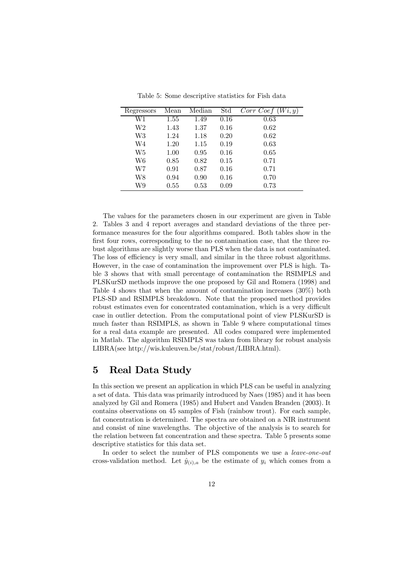| Regressors | Mean | Median | $\operatorname{Std}$ | Wi, y'<br>Corr Coef |
|------------|------|--------|----------------------|---------------------|
| W1         | 1.55 | 1.49   | 0.16                 | 0.63                |
| W2         | 1.43 | 1.37   | 0.16                 | 0.62                |
| W3         | 1.24 | 1.18   | 0.20                 | 0.62                |
| W4         | 1.20 | 1.15   | 0.19                 | 0.63                |
| W5         | 1.00 | 0.95   | 0.16                 | 0.65                |
| W6         | 0.85 | 0.82   | 0.15                 | 0.71                |
| W7         | 0.91 | 0.87   | 0.16                 | 0.71                |
| W8         | 0.94 | 0.90   | 0.16                 | 0.70                |
| W9         | 0.55 | 0.53   | 0.09                 | 0.73                |

Table 5: Some descriptive statistics for Fish data

The values for the parameters chosen in our experiment are given in Table 2. Tables 3 and 4 report averages and standard deviations of the three performance measures for the four algorithms compared. Both tables show in the first four rows, corresponding to the no contamination case, that the three robust algorithms are slightly worse than PLS when the data is not contaminated. The loss of efficiency is very small, and similar in the three robust algorithms. However, in the case of contamination the improvement over PLS is high. Table 3 shows that with small percentage of contamination the RSIMPLS and PLSKurSD methods improve the one proposed by Gil and Romera (1998) and Table 4 shows that when the amount of contamination increases (30%) both PLS-SD and RSIMPLS breakdown. Note that the proposed method provides robust estimates even for concentrated contamination, which is a very difficult case in outlier detection. From the computational point of view PLSKurSD is much faster than RSIMPLS, as shown in Table 9 where computational times for a real data example are presented. All codes compared were implemented in Matlab. The algorithm RSIMPLS was taken from library for robust analysis LIBRA(see http://wis.kuleuven.be/stat/robust/LIBRA.html).

## 5 Real Data Study

In this section we present an application in which PLS can be useful in analyzing a set of data. This data was primarily introduced by Naes (1985) and it has been analyzed by Gil and Romera (1985) and Hubert and Vanden Branden (2003). It contains observations on 45 samples of Fish (rainbow trout). For each sample, fat concentration is determined. The spectra are obtained on a NIR instrument and consist of nine wavelengths. The objective of the analysis is to search for the relation between fat concentration and these spectra. Table 5 presents some descriptive statistics for this data set.

In order to select the number of PLS components we use a *leave-one-out* cross-validation method. Let  $\hat{y}_{(i),a}$  be the estimate of  $y_i$  which comes from a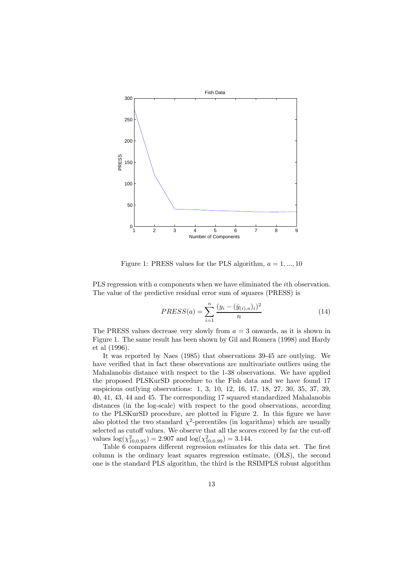

Figure 1: PRESS values for the PLS algorithm,  $a = 1, ..., 10$ 

PLS regression with a components when we have eliminated the *i*th observation. The value of the predictive residual error sum of squares (PRESS) is

$$
PRESS(a) = \sum_{i=1}^{n} \frac{(y_i - (\hat{y}_{(i),a})_i)^2}{n}
$$
(14)

The PRESS values decrease very slowly from  $a = 3$  onwards, as it is shown in Figure 1. The same result has been shown by Gil and Romera (1998) and Hardy et al (1996).

It was reported by Naes (1985) that observations 39-45 are outlying. We have verified that in fact these observations are multivariate outliers using the Mahalanobis distance with respect to the 1-38 observations. We have applied the proposed PLSKurSD procedure to the Fish data and we have found 17 suspicious outlying observations: 1, 3, 10, 12, 16, 17, 18, 27, 30, 35, 37, 39, 40, 41, 43, 44 and 45. The corresponding 17 squared standardized Mahalanobis distances (in the log-scale) with respect to the good observations, according to the PLSKurSD procedure, are plotted in Figure 2. In this figure we have also plotted the two standard  $\chi^2$ -percentiles (in logarithms) which are usually selected as cutoff values. We observe that all the scores exceed by far the cut-off values  $log(\chi^2_{10;0.95}) = 2.907$  and  $log(\chi^2_{10;0.99}) = 3.144$ .

Table 6 compares different regression estimates for this data set. The first column is the ordinary least squares regression estimate, (OLS), the second one is the standard PLS algorithm, the third is the RSIMPLS robust algorithm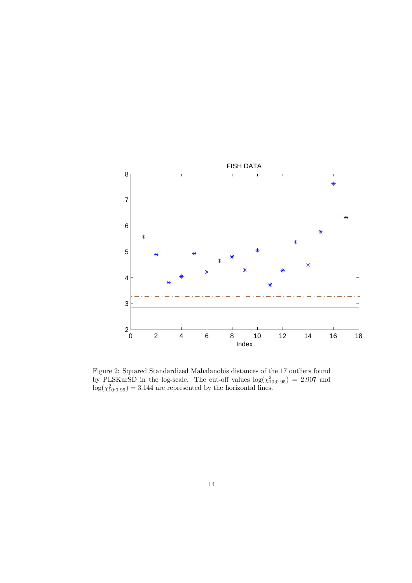

Figure 2: Squared Standardized Mahalanobis distances of the 17 outliers found by PLSKurSD in the log-scale. The cut-off values  $log(\chi^2_{10;0.95})=2.907$  and  $log(\chi^2_{10;0.99})=3.144$  are represented by the horizontal lines.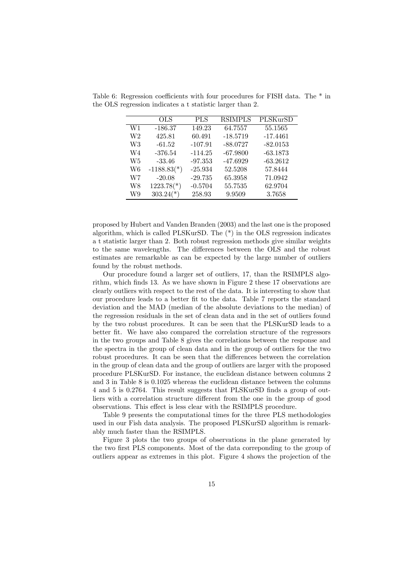|                | OLS                      | <b>PLS</b> | <b>RSIMPLS</b> | $\overline{\text{PL}}$ SKurSD |
|----------------|--------------------------|------------|----------------|-------------------------------|
| W1             | $-186.37$                | 149.23     | 64.7557        | 55.1565                       |
| W <sub>2</sub> | 425.81                   | 60.491     | $-18.5719$     | $-17.4461$                    |
| W3             | $-61.52$                 | $-107.91$  | $-88.0727$     | $-82.0153$                    |
| W4             | $-376.54$                | $-114.25$  | $-67.9800$     | $-63.1873$                    |
| W5             | $-33.46$                 | $-97.353$  | $-47.6929$     | $-63.2612$                    |
| W6             | $-1188.83(*)$            | $-25.934$  | 52.5208        | 57.8444                       |
| W7             | $-20.08$                 | $-29.735$  | 65.3958        | 71.0942                       |
| W8             | $1223.78$ <sup>*</sup> ) | $-0.5704$  | 55.7535        | 62.9704                       |
| W9             | $303.24(*)$              | 258.93     | 9.9509         | 3.7658                        |

Table 6: Regression coefficients with four procedures for FISH data. The \* in the OLS regression indicates a t statistic larger than 2.

proposed by Hubert and Vanden Branden (2003) and the last one is the proposed algorithm, which is called PLSKurSD. The (\*) in the OLS regression indicates a t statistic larger than 2. Both robust regression methods give similar weights to the same wavelengths. The differences between the OLS and the robust estimates are remarkable as can be expected by the large number of outliers found by the robust methods.

Our procedure found a larger set of outliers, 17, than the RSIMPLS algorithm, which finds 13. As we have shown in Figure 2 these 17 observations are clearly outliers with respect to the rest of the data. It is interesting to show that our procedure leads to a better fit to the data. Table 7 reports the standard deviation and the MAD (median of the absolute deviations to the median) of the regression residuals in the set of clean data and in the set of outliers found by the two robust procedures. It can be seen that the PLSKurSD leads to a better fit. We have also compared the correlation structure of the regressors in the two groups and Table 8 gives the correlations between the response and the spectra in the group of clean data and in the group of outliers for the two robust procedures. It can be seen that the differences between the correlation in the group of clean data and the group of outliers are larger with the proposed procedure PLSKurSD. For instance, the euclidean distance between columns 2 and 3 in Table 8 is 0.1025 whereas the euclidean distance between the columns 4 and 5 is 0.2764. This result suggests that PLSKurSD finds a group of outliers with a correlation structure different from the one in the group of good observations. This effect is less clear with the RSIMPLS procedure.

Table 9 presents the computational times for the three PLS methodologies used in our Fish data analysis. The proposed PLSKurSD algorithm is remarkably much faster than the RSIMPLS.

Figure 3 plots the two groups of observations in the plane generated by the two first PLS components. Most of the data correponding to the group of outliers appear as extremes in this plot. Figure 4 shows the projection of the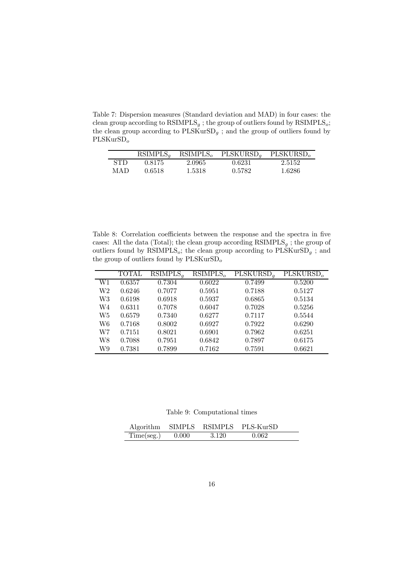Table 7: Dispersion measures (Standard deviation and MAD) in four cases: the clean group according to  $\text{RSIMPLS}_g$ ; the group of outliers found by  $\text{RSIMPLS}_o$ ; the clean group according to  $\mathrm{PLSKurSD}_g$  ; and the group of outliers found by PLSKurSD<sub>o</sub>

|            | RSIMPLS <sub>a</sub> | RSIMPLS <sub>o</sub> | PLSKURSD <sub>a</sub> | PLSKURSD <sub>o</sub> |
|------------|----------------------|----------------------|-----------------------|-----------------------|
| <b>STD</b> | 0.8175               | 2.0965               | 0.6231                | 2.5152                |
| MAD        | 0.6518               | 1.5318               | 0.5782                | 1.6286                |

Table 8: Correlation coefficients between the response and the spectra in five cases: All the data (Total); the clean group according  $\text{RSIMPLS}_g$ ; the group of outliers found by RSIMPLS<sub>o</sub>; the clean group according to  $\text{PLSKurSD}_g$  ; and the group of outliers found by  $\mathrm{PLSKurSD}_o$ 

|    | <b>TOTAL</b> | RSIMPLS <sub>a</sub> | RSIMPLS <sub>o</sub> | $\overline{\mathrm{PLSKURSD}}_q$ | $\overline{\mathrm{PLSKURSD}_o}$ |
|----|--------------|----------------------|----------------------|----------------------------------|----------------------------------|
| W1 | 0.6357       | 0.7304               | 0.6022               | 0.7499                           | 0.5200                           |
| W2 | 0.6246       | 0.7077               | 0.5951               | 0.7188                           | 0.5127                           |
| W3 | 0.6198       | 0.6918               | 0.5937               | 0.6865                           | 0.5134                           |
| W4 | 0.6311       | 0.7078               | 0.6047               | 0.7028                           | 0.5256                           |
| W5 | 0.6579       | 0.7340               | 0.6277               | 0.7117                           | 0.5544                           |
| W6 | 0.7168       | 0.8002               | 0.6927               | 0.7922                           | 0.6290                           |
| W7 | 0.7151       | 0.8021               | 0.6901               | 0.7962                           | 0.6251                           |
| W8 | 0.7088       | 0.7951               | 0.6842               | 0.7897                           | 0.6175                           |
| W9 | 0.7381       | 0.7899               | 0.7162               | 0.7591                           | 0.6621                           |

Table 9: Computational times

|                    |         | Algorithm SIMPLS RSIMPLS PLS-KurSD |  |
|--------------------|---------|------------------------------------|--|
| $Time(seg.)$ 0.000 | - 3.120 | 0.062                              |  |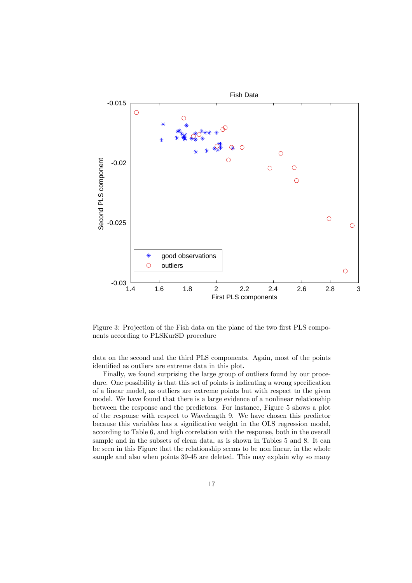

Figure 3: Projection of the Fish data on the plane of the two first PLS components according to PLSKurSD procedure

data on the second and the third PLS components. Again, most of the points identified as outliers are extreme data in this plot.

Finally, we found surprising the large group of outliers found by our procedure. One possibility is that this set of points is indicating a wrong specification of a linear model, as outliers are extreme points but with respect to the given model. We have found that there is a large evidence of a nonlinear relationship between the response and the predictors. For instance, Figure 5 shows a plot of the response with respect to Wavelength 9. We have chosen this predictor because this variables has a significative weight in the OLS regression model, according to Table 6, and high correlation with the response, both in the overall sample and in the subsets of clean data, as is shown in Tables 5 and 8. It can be seen in this Figure that the relationship seems to be non linear, in the whole sample and also when points 39-45 are deleted. This may explain why so many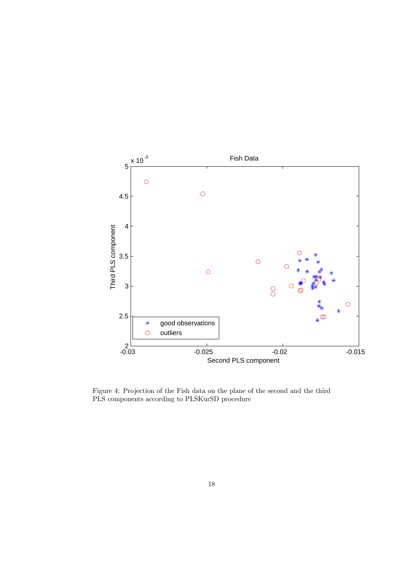

Figure 4: Projection of the Fish data on the plane of the second and the third PLS components according to PLSKurSD procedure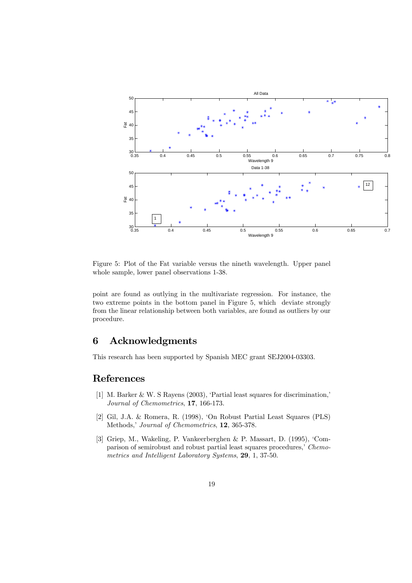

Figure 5: Plot of the Fat variable versus the nineth wavelength. Upper panel whole sample, lower panel observations 1-38.

point are found as outlying in the multivariate regression. For instance, the two extreme points in the bottom panel in Figure 5, which deviate strongly from the linear relationship between both variables, are found as outliers by our procedure.

## 6 Acknowledgments

This research has been supported by Spanish MEC grant SEJ2004-03303.

# References

- [1] M. Barker & W. S Rayens (2003), 'Partial least squares for discrimination,' Journal of Chemometrics, 17, 166-173.
- [2] Gil, J.A. & Romera, R. (1998), 'On Robust Partial Least Squares (PLS) Methods,' Journal of Chemometrics, 12, 365-378.
- [3] Griep, M., Wakeling, P. Vankeerberghen & P. Massart, D. (1995), 'Comparison of semirobust and robust partial least squares procedures,' Chemometrics and Intelligent Laboratory Systems, 29, 1, 37-50.